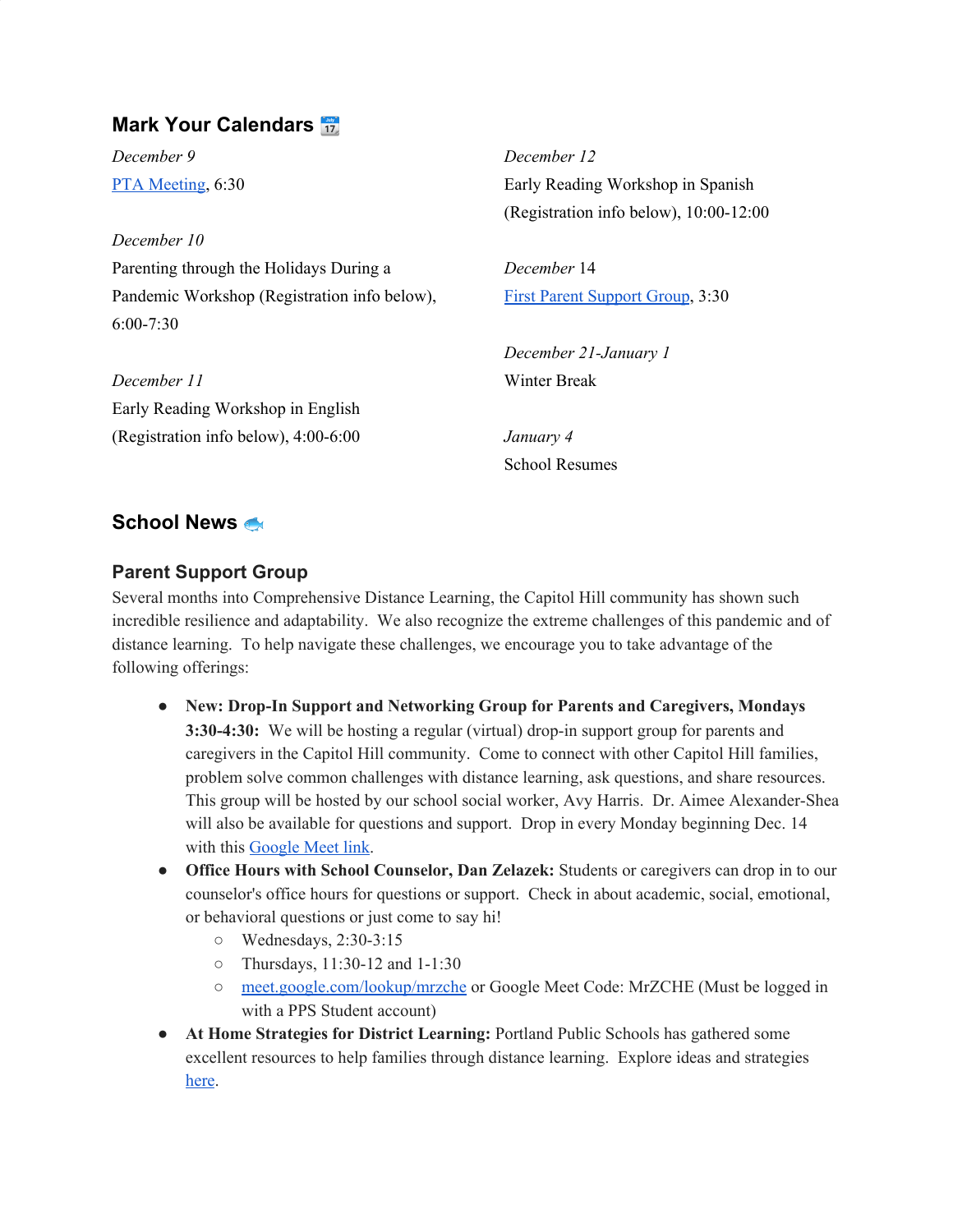# **Mark Your Calendars**

*December 9* PTA [Meeting](https://zoom.us/j/94651650150?pwd=UzlJaHBVQmE2YzJkVUVWeEY2NTByUT09), 6:30

*December 10* Parenting through the Holidays During a Pandemic Workshop (Registration info below), 6:00-7:30

*December 11* Early Reading Workshop in English (Registration info below), 4:00-6:00

*December 12* Early Reading Workshop in Spanish (Registration info below), 10:00-12:00

*December* 14 First Parent Support Group, 3:30

*December 21-January 1* Winter Break

*January 4* School Resumes

# **School News**

#### **Parent Support Group**

Several months into Comprehensive Distance Learning, the Capitol Hill community has shown such incredible resilience and adaptability. We also recognize the extreme challenges of this pandemic and of distance learning. To help navigate these challenges, we encourage you to take advantage of the following offerings:

- **New: Drop-In Support and Networking Group for Parents and Caregivers, Mondays 3:30-4:30:** We will be hosting a regular (virtual) drop-in support group for parents and caregivers in the Capitol Hill community. Come to connect with other Capitol Hill families, problem solve common challenges with distance learning, ask questions, and share resources. This group will be hosted by our school social worker, Avy Harris. Dr. Aimee Alexander-Shea will also be available for questions and support. Drop in every Monday beginning Dec. 14 with this [Google](http://meet.google.com/cbe-bvyz-iyt) Meet link.
- **Office Hours with School Counselor, Dan Zelazek:** Students or caregivers can drop in to our counselor's office hours for questions or support. Check in about academic, social, emotional, or behavioral questions or just come to say hi!
	- Wednesdays, 2:30-3:15
	- Thursdays, 11:30-12 and 1-1:30
	- [meet.google.com/lookup/mrzche](http://meet.google.com/lookup/mrzche) or Google Meet Code: MrZCHE (Must be logged in with a PPS Student account)
- **At Home Strategies for District Learning:** Portland Public Schools has gathered some excellent resources to help families through distance learning. Explore ideas and strategies [here](https://sites.google.com/pps.net/athomestrategies/home).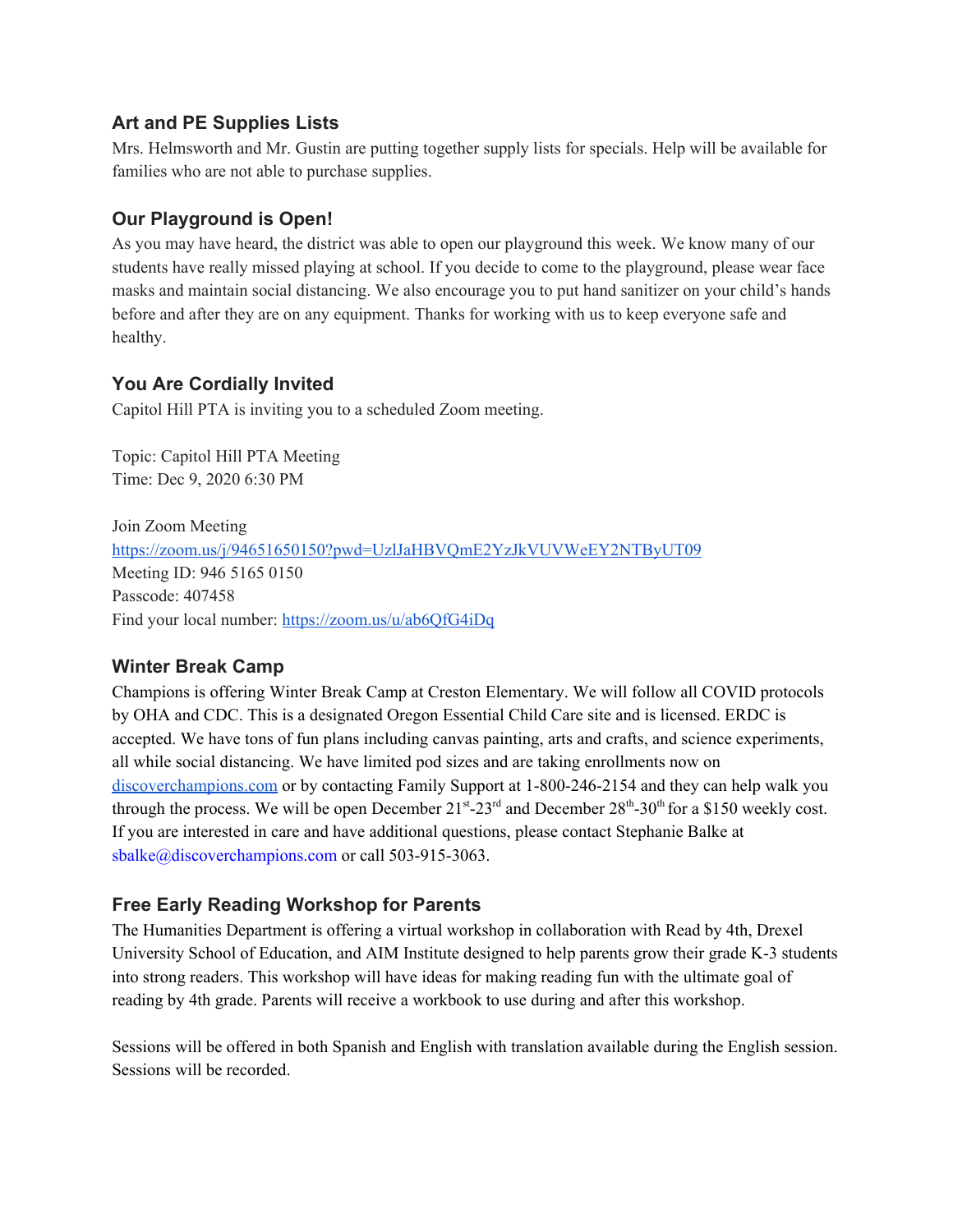#### **Art and PE Supplies Lists**

Mrs. Helmsworth and Mr. Gustin are putting together supply lists for specials. Help will be available for families who are not able to purchase supplies.

## **Our Playground is Open!**

As you may have heard, the district was able to open our playground this week. We know many of our students have really missed playing at school. If you decide to come to the playground, please wear face masks and maintain social distancing. We also encourage you to put hand sanitizer on your child's hands before and after they are on any equipment. Thanks for working with us to keep everyone safe and healthy.

## **You Are Cordially Invited**

Capitol Hill PTA is inviting you to a scheduled Zoom meeting.

Topic: Capitol Hill PTA Meeting Time: Dec 9, 2020 6:30 PM

Join Zoom Meeting <https://zoom.us/j/94651650150?pwd=UzlJaHBVQmE2YzJkVUVWeEY2NTByUT09> Meeting ID: 946 5165 0150 Passcode: 407458 Find your local number: <https://zoom.us/u/ab6QfG4iDq>

## **Winter Break Camp**

Champions is offering Winter Break Camp at Creston Elementary. We will follow all COVID protocols by OHA and CDC. This is a designated Oregon Essential Child Care site and is licensed. ERDC is accepted. We have tons of fun plans including canvas painting, arts and crafts, and science experiments, all while social distancing. We have limited pod sizes and are taking enrollments now on [discoverchampions.com](http://discoverchampions.com/) or by contacting Family Support at 1-800-246-2154 and they can help walk you through the process. We will be open December  $21^{st}$ - $23^{rd}$  and December  $28^{th}$ - $30^{th}$  for a \$150 weekly cost. If you are interested in care and have additional questions, please contact Stephanie Balke at sbalke@discoverchampions.com or call 503-915-3063.

## **Free Early Reading Workshop for Parents**

The Humanities Department is offering a virtual workshop in collaboration with Read by 4th, Drexel University School of Education, and AIM Institute designed to help parents grow their grade K-3 students into strong readers. This workshop will have ideas for making reading fun with the ultimate goal of reading by 4th grade. Parents will receive a workbook to use during and after this workshop.

Sessions will be offered in both Spanish and English with translation available during the English session. Sessions will be recorded.